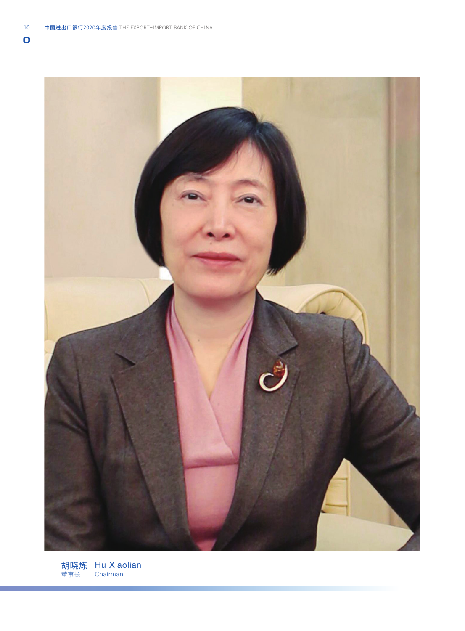Ō



胡晓炼 董事长 Hu Xiaolian Chairman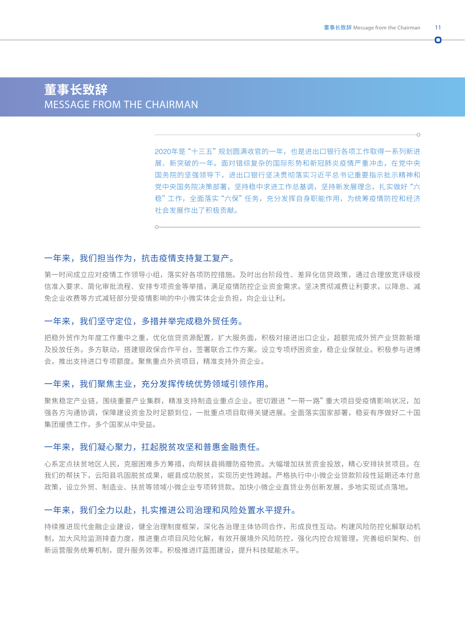n.

# **董事长致辞** MESSAGE FROM THE CHAIRMAN

2020年是"十三五"规划圆满收官的一年,也是进出口银行各项工作取得一系列新进 展、新突破的一年。面对错综复杂的国际形势和新冠肺炎疫情严重冲击,在党中央 国务院的坚强领导下,进出口银行坚决贯彻落实习近平总书记重要指示批示精神和 党中央国务院决策部署,坚持稳中求进工作总基调,坚持新发展理念,扎实做好"六 稳"工作,全面落实"六保"任务,充分发挥自身职能作用,为统筹疫情防控和经济 社会发展作出了积极贡献。

# 一年来,我们担当作为,抗击疫情支持复工复产。

第一时间成立应对疫情工作领导小组,落实好各项防控措施。及时出台阶段性、差异化信贷政策,通过合理放宽评级授 信准入要求、简化审批流程、安排专项资金等举措,满足疫情防控企业资金需求。坚决贯彻减费让利要求,以降息、减 免企业收费等方式减轻部分受疫情影响的中小微实体企业负担,向企业让利。

# 一年来,我们坚守定位,多措并举完成稳外贸任务。

把稳外贸作为年度工作重中之重,优化信贷资源配置,扩大服务面,积极对接进出口企业,超额完成外贸产业贷款新增 及投放任务。多方联动,搭建银政保合作平台,签署联合工作方案。设立专项纾困资金,稳企业保就业。积极参与进博 会,推出支持进口专项额度。聚焦重点外资项目,精准支持外资企业。

### 一年来,我们聚焦主业,充分发挥传统优势领域引领作用。

聚焦稳定产业链,围绕重要产业集群,精准支持制造业重点企业。密切跟进"一带一路"重大项目受疫情影响状况,加 强各方沟通协调,保障建设资金及时足额到位,一批重点项目取得关键进展。全面落实国家部署,稳妥有序做好二十国 集团缓债工作,多个国家从中受益。

### 一年来,我们凝心聚力,扛起脱贫攻坚和普惠金融责任。

心系定点扶贫地区人民,克服困难多方筹措,向帮扶县捐赠防疫物资。大幅增加扶贫资金投放,精心安排扶贫项目。在 我们的帮扶下,云阳县巩固脱贫成果,岷县成功脱贫,实现历史性跨越。严格执行中小微企业贷款阶段性延期还本付息 政策,设立外贸、制造业、扶贫等领域小微企业专项转贷款。加快小微企业直贷业务创新发展,多地实现试点落地。

### 一年来,我们全力以赴,扎实推进公司治理和风险处置水平提升。

持续推进现代金融企业建设,健全治理制度框架,深化各治理主体协同合作,形成良性互动。构建风险防控化解联动机 制,加大风险监测排查力度,推进重点项目风险化解,有效开展境外风险防控,强化内控合规管理。完善组织架构、创 新运营服务统筹机制,提升服务效率。积极推进IT蓝图建设,提升科技赋能水平。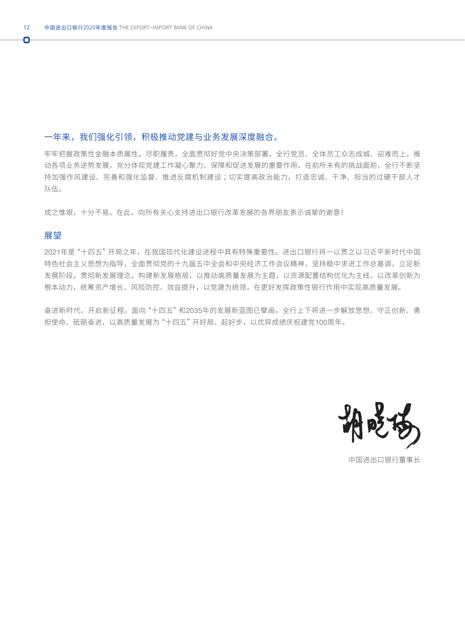### 一年来,我们强化引领,积极推动党建与业务发展深度融合。

牢牢把握政策性金融本质属性,尽职履责,全面贯彻好党中央决策部署,全行党员、全体员工众志成城、迎难而上,推 动各项业务逆势发展,充分体现党建工作凝心聚力、保障和促进发展的重要作用。在前所未有的挑战面前,全行不断坚 持加强作风建设、完善和强化监督、推进反腐机制建设 ;切实提高政治能力,打造忠诚、干净、担当的过硬干部人才 队伍。

成之惟艰,十分不易。在此,向所有关心支持进出口银行改革发展的各界朋友表示诚挚的谢意!

### 展望

2021年是"十四五"开局之年,在我国现代化建设进程中具有特殊重要性。进出口银行将一以贯之以习近平新时代中国 特色社会主义思想为指导,全面贯彻党的十九届五中全会和中央经济工作会议精神,坚持稳中求进工作总基调,立足新 发展阶段,贯彻新发展理念,构建新发展格局,以推动高质量发展为主题,以资源配置结构优化为主线,以改革创新为 根本动力,统筹资产增长、风险防控、效益提升,以党建为统领,在更好发挥政策性银行作用中实现高质量发展。

奋进新时代,开启新征程。面向"十四五"和2035年的发展新蓝图已擘画,全行上下将进一步解放思想、守正创新、勇 担使命、砥砺奋进,以高质量发展为"十四五"开好局、起好步,以优异成绩庆祝建党100周年。



中国进出口银行董事长

Ō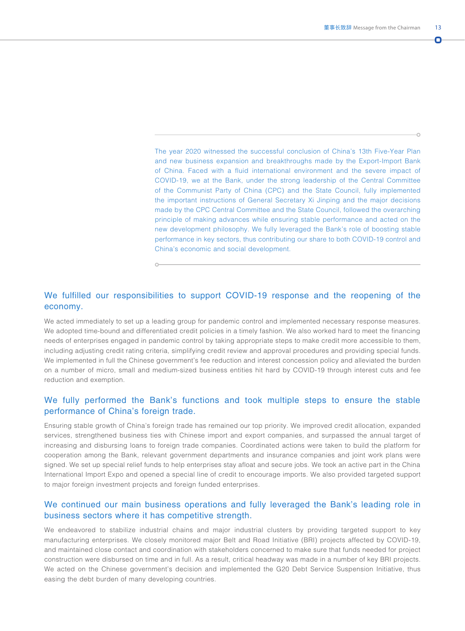n

The year 2020 witnessed the successful conclusion of China's 13th Five-Year Plan and new business expansion and breakthroughs made by the Export-Import Bank of China. Faced with a fluid international environment and the severe impact of COVID-19, we at the Bank, under the strong leadership of the Central Committee of the Communist Party of China (CPC) and the State Council, fully implemented the important instructions of General Secretary Xi Jinping and the major decisions made by the CPC Central Committee and the State Council, followed the overarching principle of making advances while ensuring stable performance and acted on the new development philosophy. We fully leveraged the Bank's role of boosting stable performance in key sectors, thus contributing our share to both COVID-19 control and China's economic and social development.

# We fulfilled our responsibilities to support COVID-19 response and the reopening of the economy.

We acted immediately to set up a leading group for pandemic control and implemented necessary response measures. We adopted time-bound and differentiated credit policies in a timely fashion. We also worked hard to meet the financing needs of enterprises engaged in pandemic control by taking appropriate steps to make credit more accessible to them, including adjusting credit rating criteria, simplifying credit review and approval procedures and providing special funds. We implemented in full the Chinese government's fee reduction and interest concession policy and alleviated the burden on a number of micro, small and medium-sized business entities hit hard by COVID-19 through interest cuts and fee reduction and exemption.

# We fully performed the Bank's functions and took multiple steps to ensure the stable performance of China's foreign trade.

Ensuring stable growth of China's foreign trade has remained our top priority. We improved credit allocation, expanded services, strengthened business ties with Chinese import and export companies, and surpassed the annual target of increasing and disbursing loans to foreign trade companies. Coordinated actions were taken to build the platform for cooperation among the Bank, relevant government departments and insurance companies and joint work plans were signed. We set up special relief funds to help enterprises stay afloat and secure jobs. We took an active part in the China International Import Expo and opened a special line of credit to encourage imports. We also provided targeted support to major foreign investment projects and foreign funded enterprises.

### We continued our main business operations and fully leveraged the Bank's leading role in business sectors where it has competitive strength.

We endeavored to stabilize industrial chains and major industrial clusters by providing targeted support to key manufacturing enterprises. We closely monitored major Belt and Road Initiative (BRI) projects affected by COVID-19, and maintained close contact and coordination with stakeholders concerned to make sure that funds needed for project construction were disbursed on time and in full. As a result, critical headway was made in a number of key BRI projects. We acted on the Chinese government's decision and implemented the G20 Debt Service Suspension Initiative, thus easing the debt burden of many developing countries.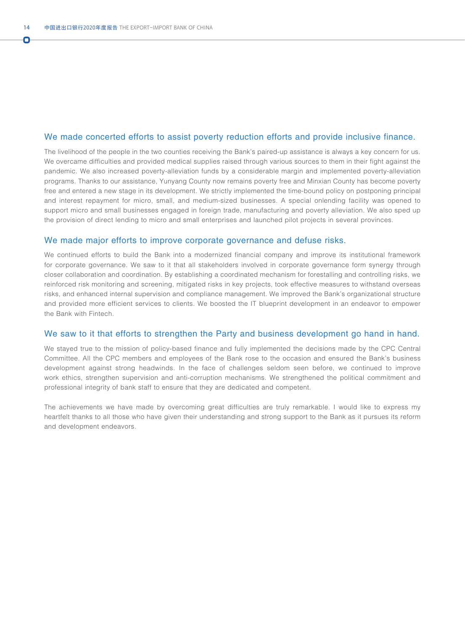n

#### We made concerted efforts to assist poverty reduction efforts and provide inclusive finance.

The livelihood of the people in the two counties receiving the Bank's paired-up assistance is always a key concern for us. We overcame difficulties and provided medical supplies raised through various sources to them in their fight against the pandemic. We also increased poverty-alleviation funds by a considerable margin and implemented poverty-alleviation programs. Thanks to our assistance, Yunyang County now remains poverty free and Minxian County has become poverty free and entered a new stage in its development. We strictly implemented the time-bound policy on postponing principal and interest repayment for micro, small, and medium-sized businesses. A special onlending facility was opened to support micro and small businesses engaged in foreign trade, manufacturing and poverty alleviation. We also sped up the provision of direct lending to micro and small enterprises and launched pilot projects in several provinces.

### We made major efforts to improve corporate governance and defuse risks.

We continued efforts to build the Bank into a modernized financial company and improve its institutional framework for corporate governance. We saw to it that all stakeholders involved in corporate governance form synergy through closer collaboration and coordination. By establishing a coordinated mechanism for forestalling and controlling risks, we reinforced risk monitoring and screening, mitigated risks in key projects, took effective measures to withstand overseas risks, and enhanced internal supervision and compliance management. We improved the Bank's organizational structure and provided more efficient services to clients. We boosted the IT blueprint development in an endeavor to empower the Bank with Fintech.

### We saw to it that efforts to strengthen the Party and business development go hand in hand.

We stayed true to the mission of policy-based finance and fully implemented the decisions made by the CPC Central Committee. All the CPC members and employees of the Bank rose to the occasion and ensured the Bank's business development against strong headwinds. In the face of challenges seldom seen before, we continued to improve work ethics, strengthen supervision and anti-corruption mechanisms. We strengthened the political commitment and professional integrity of bank staff to ensure that they are dedicated and competent.

The achievements we have made by overcoming great difficulties are truly remarkable. I would like to express my heartfelt thanks to all those who have given their understanding and strong support to the Bank as it pursues its reform and development endeavors.